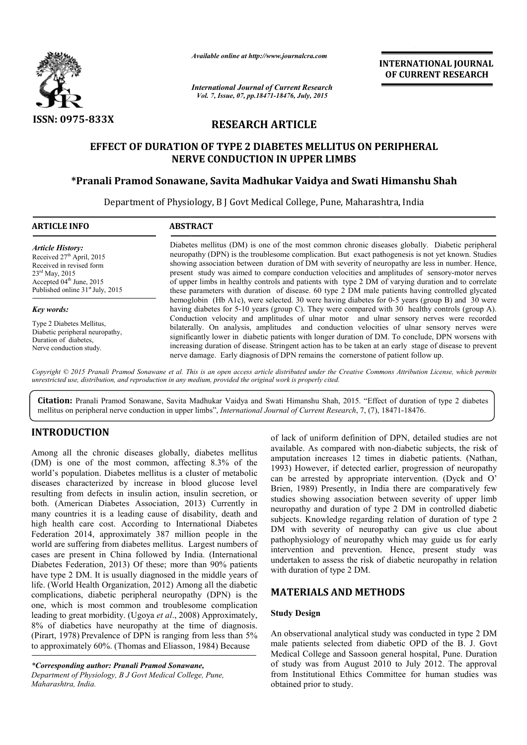

*Available online at http://www.journalcra.com*

*International Journal of Current Research Vol. 7, Issue, 07, pp.18471-18476, July, 2015*

**INTERNATIONAL INTERNATIONAL JOURNAL OF CURRENT RESEARCH** 

# **RESEARCH ARTICLE**

# **EFFECT OF DURATION OF TYPE 2 DIABETES MELLITUS ON PERIPHERAL NERVE CONDUCTION IN UPPER LIMBS** EFFECT OF DURATION OF TYPE 2 DIABETES MELLITUS ON PERIPHERAL<br>NERVE CONDUCTION IN UPPER LIMBS<br>Pranali Pramod Sonawane, Savita Madhukar Vaidya and Swati Himanshu Shah\*

Department of Physiology, B J Govt Medical College, Pune, Maharashtra, India **.** 

### **ARTICLE INFO ABSTRACT**

*Article History:* Received 27<sup>th</sup> April, 2015 Received in revised form 23rd May, 2015 Accepted 04<sup>th</sup> June, 2015 Published online 31<sup>st</sup> July, 2015

#### *Key words:*

Type 2 Diabetes Mellitus, Diabetic peripheral neuropathy, Duration of diabetes, Nerve conduction study.

Diabetes mellitus (DM) is one of the most common chronic diseases globally. Diabetic peripheral neuropathy (DPN) is the troublesome complication. But exact pathogenesis is not yet known. Studies showing association between duration of DM with severity of neuropathy are less in number. Hence, present study was aimed to compare conduction velocities and amplitudes of sensory of upper limbs in healthy controls and patients with type 2 DM of varying duration and to correlate these parameters with duration of disease. 60 type 2 DM male patients having controlled glycated hemoglobin (Hb A1c), were selected. 30 were having diabetes for 0-5 years (group B) and 30 were having diabetes for 5-10 years (group C). They were compared with 30 healthy controls (group A). Conduction velocity and amplitudes of ulnar motor and ulnar sensory nerves were recorded bilaterally. On analysis, amplitudes and conduction velocities of ulnar sensory nerves were significantly lower in diabetic patients bilaterally. On analysis, amplitudes and conduction velocities of ulnar sensory nerves were significantly lower in diabetic patients with longer duration of DM. To conclude, DPN worsens with increasing duration of disease. Stringent action has to be taken at an early stage of disease to prevent nerve damage. Early diagnosis of DPN remains the cornerstone of patient follow up. common chronic diseases globally. Diabetic peripheral<br>cation. But exact pathogenesis is not yet known. Studies<br>M with severity of neuropathy are less in number. Hence,<br>ction velocities and amplitudes of sensory-motor nerve be in healthy controls and patients with type 2 DM of varying duration and to correlate ters with duration of disease. 60 type 2 DM male patients having controlled glycated (Hb A1c), were selected. 30 were having diabetes

Copyright © 2015 Pranali Pramod Sonawane et al. This is an open access article distributed under the Creative Commons Attribution License, which permits *unrestricted use, distribution, and reproduction in any medium, provided the original work is properly cited.*

Citation: Pranali Pramod Sonawane, Savita Madhukar Vaidya and Swati Himanshu Shah, 2015. "Effect of duration of type 2 diabetes mellitus on peripheral nerve conduction in upper limbs", *International Journal of Current Res* mellitus on peripheral nerve conduction in upper limbs", *International Journal of Current Research*, 7, (7),

# **INTRODUCTION**

Among all the chronic diseases globally, diabetes mellitus (DM) is one of the most common, affecting 8.3% of the world's population. Diabetes mellitus is a cluster of metabolic diseases characterized by increase in blood glucose level resulting from defects in insulin action, insulin secretion, or both. (American Diabetes Association, 2013) Currently in many countries it is a leading cause of disability, death and high health care cost. According to International Diabetes Federation 2014, approximately 387 million people in the world are suffering from diabetes mellitus. Largest numbers of cases are present in China followed by India. ( (International Diabetes Federation, 2013) Of these; more than 90% patients have type 2 DM. It is usually diagnosed in the middle years of life. (World Health Organization, 2012) Among all the diabetic complications, diabetic peripheral neuropathy (DPN) is the one, which is most common and troublesome complication leading to great morbidity. (Ugoya *et al*., 2008) Approximately, 8% of diabetics have neuropathy at the time of diagnosis. (Pirart, 1978) Prevalence of DPN is ranging from less than 5% to approximately 60%. (Thomas and Eliasson, 1984) Because s characterized by increase in blood glucose level<br>g from defects in insulin action, insulin secretion, or<br>American Diabetes Association, 2013) Currently in

of lack of uniform definition of DPN, detailed studies are not available. As compared with non-diabetic subjects, the risk of amputation increases 12 times in diabetic patients. (Nathan, 1993) However, if detected earlier, progression of neuropathy 1993) However, if detected earlier, progression of neuropathy can be arrested by appropriate intervention. (Dyck and O' Brien, 1989) Presently, in India there are comparatively few studies showing association between severity of upper limb neuropathy and duration of type 2 DM in controlled diabetic Brien, 1989) Presently, in India there are comparatively few studies showing association between severity of upper limb neuropathy and duration of type 2 DM in controlled diabetic subjects. Knowledge regarding relation of DM with severity of neuropathy can give us clue about pathophysiology of neuropathy which may guide us for early intervention and prevention. Hence, present study was undertaken to assess the risk of diabetic neuropathy in relation with duration of type 2 DM. gy of neuropathy which may guide us for early<br>and prevention. Hence, present study was<br>assess the risk of diabetic neuropathy in relation INTERNATIONAL JOURNAL<br>
International Correlation<br>
INTERNATIONAL JOURNAL<br>
International Correlation<br>
Institutional Ethics Committee for the analysis of the same states are expected from the same state of the same state of

# **MATERIALS AND METHODS METHODS**

# **Study Design**

An observational analytical study was conducted in type 2 DM An observational analytical study was conducted in type 2 DM male patients selected from diabetic OPD of the B. J. Govt Medical College and Sassoon general hospital, Pune. Duration of study was from August 2010 to July 2012. The approval from Institutional Ethics Committee for human studies was obtained prior to study.

*<sup>\*</sup>Corresponding author: Pranali Pramod Sonawane, Department of Physiology, B J Govt Medical College, Pune, Maharashtra, India.*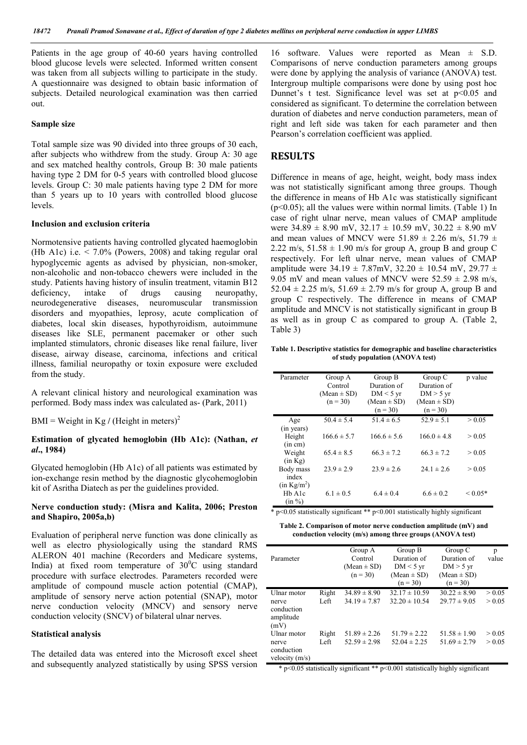Patients in the age group of 40-60 years having controlled blood glucose levels were selected. Informed written consent was taken from all subjects willing to participate in the study. A questionnaire was designed to obtain basic information of subjects. Detailed neurological examination was then carried out.

#### **Sample size**

Total sample size was 90 divided into three groups of 30 each, after subjects who withdrew from the study. Group A: 30 age and sex matched healthy controls, Group B: 30 male patients having type 2 DM for 0-5 years with controlled blood glucose levels. Group C: 30 male patients having type 2 DM for more than 5 years up to 10 years with controlled blood glucose levels.

#### **Inclusion and exclusion criteria**

Normotensive patients having controlled glycated haemoglobin (Hb A1c) i.e. < 7.0% (Powers, 2008) and taking regular oral hypoglycemic agents as advised by physician, non-smoker, non-alcoholic and non-tobacco chewers were included in the study. Patients having history of insulin treatment, vitamin B12 deficiency, intake of drugs causing neuropathy, neurodegenerative diseases, neuromuscular transmission disorders and myopathies, leprosy, acute complication of diabetes, local skin diseases, hypothyroidism, autoimmune diseases like SLE, permanent pacemaker or other such implanted stimulators, chronic diseases like renal failure, liver disease, airway disease, carcinoma, infections and critical illness, familial neuropathy or toxin exposure were excluded from the study.

A relevant clinical history and neurological examination was performed. Body mass index was calculated as- (Park, 2011)

BMI = Weight in Kg / (Height in meters)<sup>2</sup>

#### **Estimation of glycated hemoglobin (Hb A1c): (Nathan,** *et al***., 1984)**

Glycated hemoglobin (Hb A1c) of all patients was estimated by ion-exchange resin method by the diagnostic glycohemoglobin kit of Asritha Diatech as per the guidelines provided.

#### **Nerve conduction study: (Misra and Kalita, 2006; Preston and Shapiro, 2005a,b)**

Evaluation of peripheral nerve function was done clinically as well as electro physiologically using the standard RMS ALERON 401 machine (Recorders and Medicare systems, India) at fixed room temperature of  $30^{\circ}$ C using standard procedure with surface electrodes. Parameters recorded were amplitude of compound muscle action potential (CMAP), amplitude of sensory nerve action potential (SNAP), motor nerve conduction velocity (MNCV) and sensory nerve conduction velocity (SNCV) of bilateral ulnar nerves.

#### **Statistical analysis**

The detailed data was entered into the Microsoft excel sheet and subsequently analyzed statistically by using SPSS version

16 software. Values were reported as Mean ± S.D. Comparisons of nerve conduction parameters among groups were done by applying the analysis of variance (ANOVA) test. Intergroup multiple comparisons were done by using post hoc Dunnet's t test. Significance level was set at  $p < 0.05$  and considered as significant. To determine the correlation between duration of diabetes and nerve conduction parameters, mean of right and left side was taken for each parameter and then Pearson's correlation coefficient was applied.

#### **RESULTS**

Difference in means of age, height, weight, body mass index was not statistically significant among three groups. Though the difference in means of Hb A1c was statistically significant  $(p<0.05)$ ; all the values were within normal limits. (Table 1) In case of right ulnar nerve, mean values of CMAP amplitude were  $34.89 \pm 8.90$  mV,  $32.17 \pm 10.59$  mV,  $30.22 \pm 8.90$  mV and mean values of MNCV were  $51.89 \pm 2.26$  m/s,  $51.79 \pm 1.6$ 2.22 m/s,  $51.58 \pm 1.90$  m/s for group A, group B and group C respectively. For left ulnar nerve, mean values of CMAP amplitude were  $34.19 \pm 7.87$ mV,  $32.20 \pm 10.54$  mV,  $29.77 \pm 10.54$ 9.05 mV and mean values of MNCV were  $52.59 \pm 2.98$  m/s, 52.04  $\pm$  2.25 m/s, 51.69  $\pm$  2.79 m/s for group A, group B and group C respectively. The difference in means of CMAP amplitude and MNCV is not statistically significant in group B as well as in group C as compared to group A. (Table 2, Table 3)

**Table 1. Descriptive statistics for demographic and baseline characteristics of study population (ANOVA test)**

| Parameter                                     | Group A<br>Control<br>$(Mean \pm SD)$<br>$(n = 30)$ | Group B<br>Duration of<br>$DM < 5 \text{ yr}$<br>$(Mean \pm SD)$<br>$(n = 30)$ | Group C<br>Duration of<br>$DM > 5$ yr<br>$(Mean \pm SD)$<br>$(n = 30)$ | p value     |
|-----------------------------------------------|-----------------------------------------------------|--------------------------------------------------------------------------------|------------------------------------------------------------------------|-------------|
| Age<br>(in years)                             | $50.4 \pm 5.4$                                      | $51.4 \pm 6.5$                                                                 | $52.9 \pm 5.1$                                                         | > 0.05      |
| Height<br>(in cm)                             | $166.6 \pm 5.7$                                     | $166.6 \pm 5.6$                                                                | $166.0 \pm 4.8$                                                        | > 0.05      |
| Weight<br>(in Kg)                             | $65.4 \pm 8.5$                                      | $66.3 \pm 7.2$                                                                 | $66.3 \pm 7.2$                                                         | > 0.05      |
| Body mass<br>index<br>(in Kg/m <sup>2</sup> ) | $23.9 \pm 2.9$                                      | $23.9 \pm 2.6$                                                                 | $24.1 \pm 2.6$                                                         | > 0.05      |
| H <sub>b</sub> A <sub>1</sub> c<br>(in %)     | $6.1 \pm 0.5$                                       | $6.4 \pm 0.4$                                                                  | $6.6 \pm 0.2$                                                          | ${}< 0.05*$ |

 $p$ <0.05 statistically significant \*\*  $p$  <0.001 statistically highly significant

**Table 2. Comparison of motor nerve conduction amplitude (mV) and conduction velocity (m/s) among three groups (ANOVA test)**

| Parameter                                               |               | Group A<br>Control<br>$(Mean \pm SD)$<br>$(n = 30)$ | Group B<br>Duration of<br>$DM < 5 \text{ yr}$<br>$(Mean \pm SD)$<br>$(n = 30)$ | Group C<br>Duration of<br>$DM > 5$ yr<br>$(Mean \pm SD)$<br>$(n = 30)$ | p<br>value       |
|---------------------------------------------------------|---------------|-----------------------------------------------------|--------------------------------------------------------------------------------|------------------------------------------------------------------------|------------------|
| Ulnar motor<br>nerve<br>conduction<br>amplitude<br>(mV) | Right<br>Left | $34.89 \pm 8.90$<br>$34.19 \pm 7.87$                | $32.17 \pm 10.59$<br>$32.20 \pm 10.54$                                         | $30.22 \pm 8.90$<br>$29.77 \pm 9.05$                                   | > 0.05<br>> 0.05 |
| Ulnar motor<br>nerve<br>conduction<br>valpoint(         | Right<br>Left | $51.89 \pm 2.26$<br>$52.59 \pm 2.98$                | $51.79 \pm 2.22$<br>$52.04 \pm 2.25$                                           | $51.58 \pm 1.90$<br>$51.69 \pm 2.79$                                   | > 0.05<br>> 0.05 |

velocity (m/s)

\* p<0.05 statistically significant \*\* p<0.001 statistically highly significant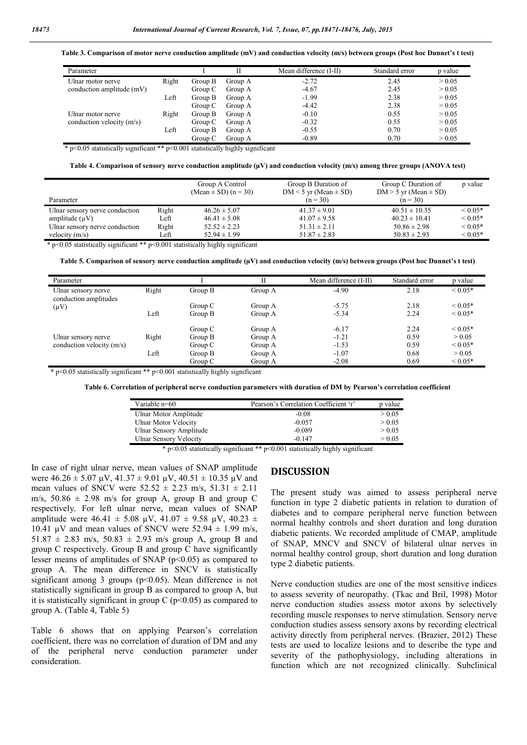**Table 3. Comparison of motor nerve conduction amplitude (mV) and conduction velocity (m/s) between groups (Post hoc Dunnet's t test)**

| Parameter                   |       |         |         | Mean difference (I-II) | Standard error | p value |
|-----------------------------|-------|---------|---------|------------------------|----------------|---------|
| Ulnar motor nerve           | Right | Group B | Group A | $-2.72$                | 2.45           | > 0.05  |
| conduction amplitude (mV)   |       | Group C | Group A | $-4.67$                | 2.45           | > 0.05  |
|                             | Left  | Group B | Group A | $-1.99$                | 2.38           | > 0.05  |
|                             |       | Group C | Group A | $-4.42$                | 2.38           | > 0.05  |
| Ulnar motor nerve           | Right | Group B | Group A | $-0.10$                | 0.55           | > 0.05  |
| conduction velocity $(m/s)$ |       | Group C | Group A | $-0.32$                | 0.55           | > 0.05  |
|                             | Left  | Group B | Group A | $-0.55$                | 0.70           | > 0.05  |
|                             |       | Group C | Group A | $-0.89$                | 0.70           | > 0.05  |

\* p<0.05 statistically significant \*\* p<0.001 statistically highly significant

**Table 4. Comparison of sensory nerve conduction amplitude (µV) and conduction velocity (m/s) among three groups (ANOVA test)**

|                                |       | Group A Control<br>$(Mean \pm SD)$ $(n = 30)$ | Group B Duration of<br>$DM < 5$ yr (Mean $\pm$ SD) | Group C Duration of<br>$DM > 5$ yr (Mean $\pm$ SD) | p value           |
|--------------------------------|-------|-----------------------------------------------|----------------------------------------------------|----------------------------------------------------|-------------------|
| Parameter                      |       |                                               | $(n = 30)$                                         | $(n = 30)$                                         |                   |
| Ulnar sensory nerve conduction | Right | $46.26 \pm 5.07$                              | $41.37 \pm 9.01$                                   | $40.51 \pm 10.35$                                  | ${}_{\leq 0.05*}$ |
| amplitude $(\mu V)$            | Left  | $46.41 \pm 5.08$                              | $41.07 \pm 9.58$                                   | $40.23 \pm 10.41$                                  | ${}< 0.05*$       |
| Ulnar sensory nerve conduction | Right | $52.52 \pm 2.23$                              | $51.31 \pm 2.11$                                   | $50.86 \pm 2.98$                                   | ${}_{\leq 0.05*}$ |
| velocity $(m/s)$               | Left  | $52.94 \pm 1.99$                              | $51.87 \pm 2.83$                                   | $50.83 \pm 2.93$                                   | ${}< 0.05*$       |

\* p<0.05 statistically significant \*\* p<0.001 statistically highly significant

**Table 5. Comparison of sensory nerve conduction amplitude (µV) and conduction velocity (m/s) between groups (Post hoc Dunnet's t test)**

| Parameter                                    |       |         | ĪĪ      | Mean difference (I-II) | Standard error | p value           |
|----------------------------------------------|-------|---------|---------|------------------------|----------------|-------------------|
| Ulnar sensory nerve<br>conduction amplitudes | Right | Group B | Group A | $-4.90$                | 2.18           | ${}_{\leq 0.05*}$ |
| $(\mu V)$                                    |       | Group C | Group A | $-5.75$                | 2.18           | ${}_{\leq 0.05*}$ |
|                                              | Left  | Group B | Group A | $-5.34$                | 2.24           | ${}_{\leq 0.05*}$ |
|                                              |       | Group C | Group A | $-6.17$                | 2.24           | ${}_{\leq 0.05*}$ |
| Ulnar sensory nerve                          | Right | Group B | Group A | $-1.21$                | 0.59           | > 0.05            |
| conduction velocity (m/s)                    |       | Group C | Group A | $-1.53$                | 0.59           | ${}_{\leq 0.05*}$ |
|                                              | Left  | Group B | Group A | $-1.07$                | 0.68           | > 0.05            |
|                                              |       | Group C | Group A | $-2.08$                | 0.69           | ${}< 0.05*$       |

\* p<0.05 statistically significant \*\* p<0.001 statistically highly significant

**Table 6. Correlation of peripheral nerve conduction parameters with duration of DM by Pearson's correlation coefficient**

| Variable n=60                 | Pearson's Correlation Coefficient 'r' | p value |
|-------------------------------|---------------------------------------|---------|
| Ulnar Motor Amplitude         | $-0.08$                               | > 0.05  |
| Ulnar Motor Velocity          | $-0.057$                              | > 0.05  |
| Ulnar Sensory Amplitude       | $-0.089$                              | > 0.05  |
| <b>Ulnar Sensory Velocity</b> | $-0.147$                              | > 0.05  |

\* p<0.05 statistically significant \*\* p<0.001 statistically highly significant

In case of right ulnar nerve, mean values of SNAP amplitude were  $46.26 \pm 5.07 \mu V$ ,  $41.37 \pm 9.01 \mu V$ ,  $40.51 \pm 10.35 \mu V$  and mean values of SNCV were  $52.52 \pm 2.23$  m/s,  $51.31 \pm 2.11$ m/s,  $50.86 \pm 2.98$  m/s for group A, group B and group C respectively. For left ulnar nerve, mean values of SNAP amplitude were  $46.41 \pm 5.08$  uV,  $41.07 \pm 9.58$  uV,  $40.23 \pm 1.02$ 10.41 uV and mean values of SNCV were  $52.94 \pm 1.99$  m/s,  $51.87 \pm 2.83$  m/s,  $50.83 \pm 2.93$  m/s group A, group B and group C respectively. Group B and group C have significantly lesser means of amplitudes of SNAP ( $p$ <0.05) as compared to group A. The mean difference in SNCV is statistically significant among 3 groups ( $p$ <0.05). Mean difference is not statistically significant in group B as compared to group A, but it is statistically significant in group  $C$  ( $p<0.05$ ) as compared to group A. (Table 4, Table 5)

Table 6 shows that on applying Pearson's correlation coefficient, there was no correlation of duration of DM and any of the peripheral nerve conduction parameter under consideration.

### **DISCUSSION**

The present study was aimed to assess peripheral nerve function in type 2 diabetic patients in relation to duration of diabetes and to compare peripheral nerve function between normal healthy controls and short duration and long duration diabetic patients. We recorded amplitude of CMAP, amplitude of SNAP, MNCV and SNCV of bilateral ulnar nerves in normal healthy control group, short duration and long duration type 2 diabetic patients.

Nerve conduction studies are one of the most sensitive indices to assess severity of neuropathy. (Tkac and Bril, 1998) Motor nerve conduction studies assess motor axons by selectively recording muscle responses to nerve stimulation. Sensory nerve conduction studies assess sensory axons by recording electrical activity directly from peripheral nerves. (Brazier, 2012) These tests are used to localize lesions and to describe the type and severity of the pathophysiology, including alterations in function which are not recognized clinically. Subclinical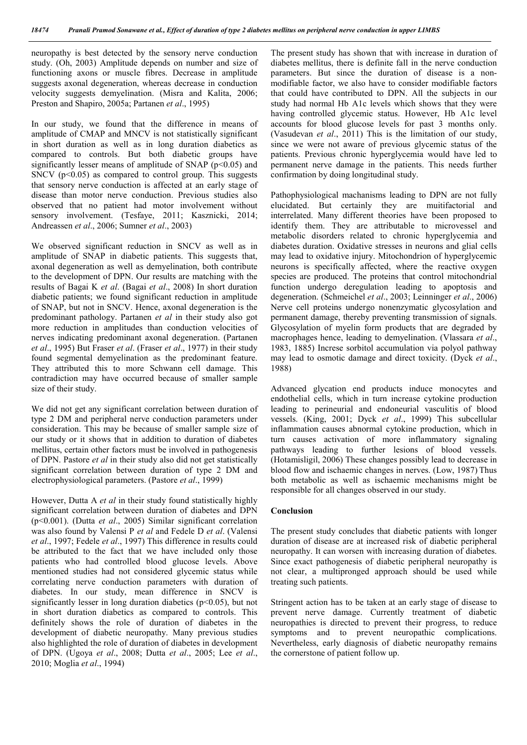neuropathy is best detected by the sensory nerve conduction study. (Oh, 2003) Amplitude depends on number and size of functioning axons or muscle fibres. Decrease in amplitude suggests axonal degeneration, whereas decrease in conduction velocity suggests demyelination. (Misra and Kalita, 2006; Preston and Shapiro, 2005a; Partanen *et al*., 1995)

In our study, we found that the difference in means of amplitude of CMAP and MNCV is not statistically significant in short duration as well as in long duration diabetics as compared to controls. But both diabetic groups have significantly lesser means of amplitude of SNAP ( $p$ <0.05) and SNCV ( $p<0.05$ ) as compared to control group. This suggests that sensory nerve conduction is affected at an early stage of disease than motor nerve conduction. Previous studies also observed that no patient had motor involvement without sensory involvement. (Tesfaye, 2011; Kasznicki, 2014; Andreassen *et al*., 2006; Sumner *et al*., 2003)

We observed significant reduction in SNCV as well as in amplitude of SNAP in diabetic patients. This suggests that, axonal degeneration as well as demyelination, both contribute to the development of DPN. Our results are matching with the results of Bagai K *et al*. (Bagai *et al*., 2008) In short duration diabetic patients; we found significant reduction in amplitude of SNAP, but not in SNCV. Hence, axonal degeneration is the predominant pathology. Partanen *et al* in their study also got more reduction in amplitudes than conduction velocities of nerves indicating predominant axonal degeneration. (Partanen *et al*., 1995) But Fraser *et al*. (Fraser *et al*., 1977) in their study found segmental demyelination as the predominant feature. They attributed this to more Schwann cell damage. This contradiction may have occurred because of smaller sample size of their study.

We did not get any significant correlation between duration of type 2 DM and peripheral nerve conduction parameters under consideration. This may be because of smaller sample size of our study or it shows that in addition to duration of diabetes mellitus, certain other factors must be involved in pathogenesis of DPN. Pastore *et al* in their study also did not get statistically significant correlation between duration of type 2 DM and electrophysiological parameters. (Pastore *et al*., 1999)

However, Dutta A *et al* in their study found statistically highly significant correlation between duration of diabetes and DPN (p<0.001). (Dutta *et al*., 2005) Similar significant correlation was also found by Valensi P *et al* and Fedele D *et al*. (Valensi *et al*., 1997; Fedele *et al*., 1997) This difference in results could be attributed to the fact that we have included only those patients who had controlled blood glucose levels. Above mentioned studies had not considered glycemic status while correlating nerve conduction parameters with duration of diabetes. In our study, mean difference in SNCV is significantly lesser in long duration diabetics ( $p$ <0.05), but not in short duration diabetics as compared to controls. This definitely shows the role of duration of diabetes in the development of diabetic neuropathy. Many previous studies also highlighted the role of duration of diabetes in development of DPN. (Ugoya *et al*., 2008; Dutta *et al*., 2005; Lee *et al*., 2010; Moglia *et al*., 1994)

The present study has shown that with increase in duration of diabetes mellitus, there is definite fall in the nerve conduction parameters. But since the duration of disease is a nonmodifiable factor, we also have to consider modifiable factors that could have contributed to DPN. All the subjects in our study had normal Hb A1c levels which shows that they were having controlled glycemic status. However, Hb A1c level accounts for blood glucose levels for past 3 months only. (Vasudevan *et al*., 2011) This is the limitation of our study, since we were not aware of previous glycemic status of the patients. Previous chronic hyperglycemia would have led to permanent nerve damage in the patients. This needs further confirmation by doing longitudinal study.

Pathophysiological machanisms leading to DPN are not fully elucidated. But certainly they are muitifactorial and interrelated. Many different theories have been proposed to identify them. They are attributable to microvessel and metabolic disorders related to chronic hyperglycemia and diabetes duration. Oxidative stresses in neurons and glial cells may lead to oxidative injury. Mitochondrion of hyperglycemic neurons is specifically affected, where the reactive oxygen species are produced. The proteins that control mitochondrial function undergo deregulation leading to apoptosis and degeneration. (Schmeichel *et al*., 2003; Leinninger *et al*., 2006) Nerve cell proteins undergo nonenzymatic glycosylation and permanent damage, thereby preventing transmission of signals. Glycosylation of myelin form products that are degraded by macrophages hence, leading to demyelination. (Vlassara *et al*., 1983, 1885) Increse sorbitol accumulation via polyol pathway may lead to osmotic damage and direct toxicity. (Dyck *et al*., 1988)

Advanced glycation end products induce monocytes and endothelial cells, which in turn increase cytokine production leading to perineurial and endoneurial vasculitis of blood vessels. (King, 2001; Dyck *et al*., 1999) This subcellular inflammation causes abnormal cytokine production, which in turn causes activation of more inflammatory signaling pathways leading to further lesions of blood vessels. (Hotamisligil, 2006) These changes possibly lead to decrease in blood flow and ischaemic changes in nerves. (Low, 1987) Thus both metabolic as well as ischaemic mechanisms might be responsible for all changes observed in our study.

#### **Conclusion**

The present study concludes that diabetic patients with longer duration of disease are at increased risk of diabetic peripheral neuropathy. It can worsen with increasing duration of diabetes. Since exact pathogenesis of diabetic peripheral neuropathy is not clear, a multipronged approach should be used while treating such patients.

Stringent action has to be taken at an early stage of disease to prevent nerve damage. Currently treatment of diabetic neuropathies is directed to prevent their progress, to reduce symptoms and to prevent neuropathic complications. Nevertheless, early diagnosis of diabetic neuropathy remains the cornerstone of patient follow up.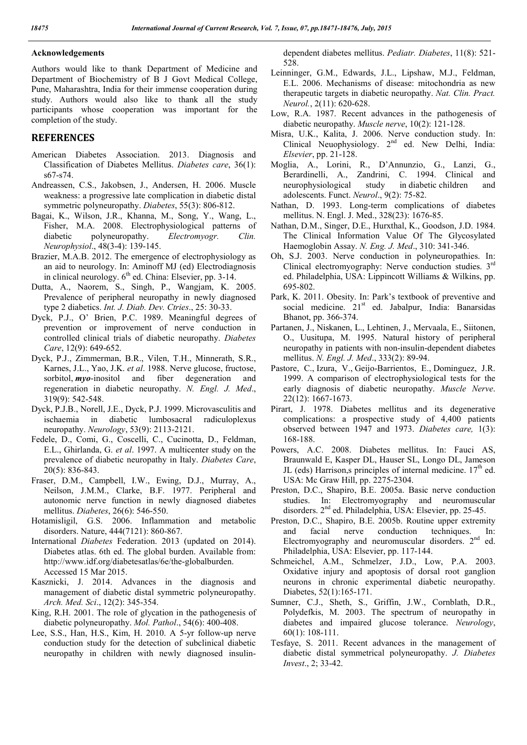### **Acknowledgements**

Authors would like to thank Department of Medicine and Department of Biochemistry of B J Govt Medical College, Pune, Maharashtra, India for their immense cooperation during study. Authors would also like to thank all the study participants whose cooperation was important for the completion of the study.

# **REFERENCES**

- American Diabetes Association. 2013. Diagnosis and Classification of Diabetes Mellitus. *Diabetes care*, 36(1): s67-s74.
- Andreassen, C.S., Jakobsen, J., Andersen, H. 2006. Muscle weakness: a progressive late complication in diabetic distal symmetric polyneuropathy. *Diabetes*, 55(3): 806-812.
- Bagai, K., Wilson, J.R., Khanna, M., Song, Y., Wang, L., Fisher, M.A. 2008. Electrophysiological patterns of diabetic polyneuropathy. *Electromyogr. Clin. Neurophysiol*., 48(3-4): 139-145.
- Brazier, M.A.B. 2012. The emergence of electrophysiology as an aid to neurology. In: Aminoff MJ (ed) Electrodiagnosis in clinical neurology.  $6<sup>th</sup>$  ed. China: Elsevier, pp. 3-14.
- Dutta, A., Naorem, S., Singh, P., Wangjam, K. 2005. Prevalence of peripheral neuropathy in newly diagnosed type 2 diabetics. *Int. J. Diab. Dev. Ctries*., 25: 30-33.
- Dyck, P.J., O' Brien, P.C. 1989. Meaningful degrees of prevention or improvement of nerve conduction in controlled clinical trials of diabetic neuropathy. *Diabetes Care*, 12(9): 649-652.
- Dyck, P.J., Zimmerman, B.R., Vilen, T.H., Minnerath, S.R., Karnes, J.L., Yao, J.K. *et al*. 1988. Nerve glucose, fructose, sorbitol, *myo*-inositol and fiber degeneration and regeneration in diabetic neuropathy. *N. Engl. J. Med*., 319(9): 542-548.
- Dyck, P.J.B., Norell, J.E., Dyck, P.J. 1999. Microvasculitis and ischaemia in diabetic lumbosacral radiculoplexus neuropathy. *Neurology*, 53(9): 2113-2121.
- Fedele, D., Comi, G., Coscelli, C., Cucinotta, D., Feldman, E.L., Ghirlanda, G. *et al*. 1997. A multicenter study on the prevalence of diabetic neuropathy in Italy. *Diabetes Care*, 20(5): 836-843.
- Fraser, D.M., Campbell, I.W., Ewing, D.J., Murray, A., Neilson, J.M.M., Clarke, B.F. 1977. Peripheral and autonomic nerve function in newly diagnosed diabetes mellitus. *Diabetes*, 26(6): 546-550.
- Hotamisligil, G.S. 2006. Inflammation and metabolic disorders. Nature, 444(7121): 860-867.
- International *Diabetes* Federation. 2013 (updated on 2014). Diabetes atlas. 6th ed. The global burden. Available from: http://www.idf.org/diabetesatlas/6e/the-globalburden. Accessed 15 Mar 2015.
- Kasznicki, J. 2014. Advances in the diagnosis and management of diabetic distal symmetric polyneuropathy. *Arch. Med. Sci*., 12(2): 345-354.
- King, R.H. 2001. The role of glycation in the pathogenesis of diabetic polyneuropathy. *Mol. Pathol*., 54(6): 400-408.
- Lee, S.S., Han, H.S., Kim, H. 2010. A 5-yr follow-up nerve conduction study for the detection of subclinical diabetic neuropathy in children with newly diagnosed insulin-

dependent diabetes mellitus. *Pediatr. Diabetes*, 11(8): 521- 528.

- Leinninger, G.M., Edwards, J.L., Lipshaw, M.J., Feldman, E.L. 2006. Mechanisms of disease: mitochondria as new therapeutic targets in diabetic neuropathy. *Nat. Clin. Pract. Neurol.*, 2(11): 620-628.
- Low, R.A. 1987. Recent advances in the pathogenesis of diabetic neuropathy. *Muscle nerve*, 10(2): 121-128.
- Misra, U.K., Kalita, J. 2006. Nerve conduction study. In: Clinical Neuophysiology. 2nd ed. New Delhi, India: *Elsevier*, pp. 21-128.
- Moglia, A., Lorini, R., D'Annunzio, G., Lanzi, G., Berardinelli, A., Zandrini, C. 1994. Clinical and neurophysiological study in diabetic children and adolescents. Funct. *Neurol*., 9(2): 75-82.
- Nathan, D. 1993. Long-term complications of diabetes mellitus. N. Engl. J. Med., 328(23): 1676-85.
- Nathan, D.M., Singer, D.E., Hurxthal, K., Goodson, J.D. 1984. The Clinical Information Value Of The Glycosylated Haemoglobin Assay. *N. Eng. J. Med*., 310: 341-346.
- Oh, S.J. 2003. Nerve conduction in polyneuropathies. In: Clinical electromyography: Nerve conduction studies. 3rd ed. Philadelphia, USA: Lippincott Williams & Wilkins, pp. 695-802.
- Park, K. 2011. Obesity. In: Park's textbook of preventive and social medicine. 21<sup>st</sup> ed. Jabalpur, India: Banarsidas Bhanot, pp. 366-374.
- Partanen, J., Niskanen, L., Lehtinen, J., Mervaala, E., Siitonen, O., Uusitupa, M. 1995. Natural history of peripheral neuropathy in patients with non-insulin-dependent diabetes mellitus. *N. Engl. J. Med*., 333(2): 89-94.
- Pastore, C., Izura, V., Geijo-Barrientos, E., Dominguez, J.R. 1999. A comparison of electrophysiological tests for the early diagnosis of diabetic neuropathy. *Muscle Nerve*. 22(12): 1667-1673.
- Pirart, J. 1978. Diabetes mellitus and its degenerative complications: a prospective study of 4,400 patients observed between 1947 and 1973. *Diabetes care,* 1(3): 168-188.
- Powers, A.C. 2008. Diabetes mellitus. In: Fauci AS, Braunwald E, Kasper DL, Hauser SL, Longo DL, Jameson JL (eds) Harrison, principles of internal medicine.  $17<sup>th</sup>$  ed. USA: Mc Graw Hill, pp. 2275-2304.
- Preston, D.C., Shapiro, B.E. 2005a. Basic nerve conduction studies. In: Electromyography and neuromuscular disorders. 2nd ed. Philadelphia, USA: Elsevier, pp. 25-45.
- Preston, D.C., Shapiro, B.E. 2005b. Routine upper extremity and facial nerve conduction techniques. In: Electromyography and neuromuscular disorders. 2<sup>nd</sup> ed. Philadelphia, USA: Elsevier, pp. 117-144.
- Schmeichel, A.M., Schmelzer, J.D., Low, P.A. 2003. Oxidative injury and apoptosis of dorsal root ganglion neurons in chronic experimental diabetic neuropathy. Diabetes, 52(1):165-171.
- Sumner, C.J., Sheth, S., Griffin, J.W., Cornblath, D.R., Polydefkis, M. 2003. The spectrum of neuropathy in diabetes and impaired glucose tolerance. *Neurology*, 60(1): 108-111.
- Tesfaye, S. 2011. Recent advances in the management of diabetic distal symmetrical polyneuropathy. *J. Diabetes Invest*., 2; 33-42.